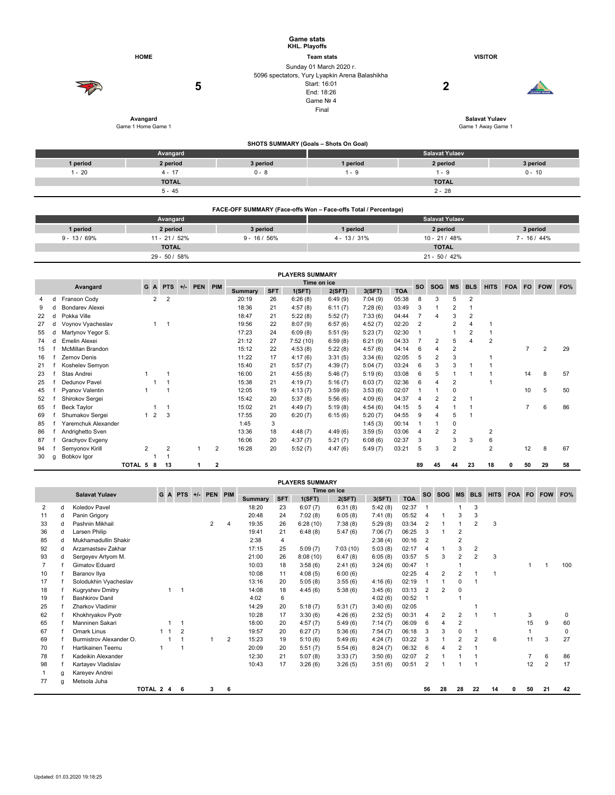|          |                                     | <b>Game stats</b><br>KHL. Playoffs |                                                                                                                               |                                                  |                       |
|----------|-------------------------------------|------------------------------------|-------------------------------------------------------------------------------------------------------------------------------|--------------------------------------------------|-----------------------|
|          | <b>HOME</b>                         |                                    | <b>Team stats</b>                                                                                                             | <b>VISITOR</b>                                   |                       |
|          | 5<br>Avangard<br>Game 1 Home Game 1 |                                    | Sunday 01 March 2020 r.<br>5096 spectators, Yury Lyapkin Arena Balashikha<br>Start: 16:01<br>End: 18:26<br>Game Nº 4<br>Final | 2<br><b>Salavat Yulaev</b><br>Game 1 Away Game 1 | <b>CARABAT KORASS</b> |
|          |                                     |                                    | SHOTS SUMMARY (Goals - Shots On Goal)                                                                                         |                                                  |                       |
|          | Avangard                            |                                    |                                                                                                                               | <b>Salavat Yulaev</b>                            |                       |
| 1 period | 2 period                            | 3 period                           | 1 period                                                                                                                      | 2 period                                         | 3 period              |
| $1 - 20$ | $4 - 17$                            | $0 - 8$                            | $1 - 9$                                                                                                                       | $1 - 9$                                          | $0 - 10$              |
|          | <b>TOTAL</b>                        |                                    |                                                                                                                               | <b>TOTAL</b>                                     |                       |
|          | $5 - 45$                            |                                    |                                                                                                                               | $2 - 28$                                         |                       |
|          |                                     |                                    |                                                                                                                               |                                                  |                       |

|              | FACE-OFF SUMMARY (Face-offs Won - Face-offs Total / Percentage) |                |                 |                       |              |  |  |  |  |  |  |  |  |  |
|--------------|-----------------------------------------------------------------|----------------|-----------------|-----------------------|--------------|--|--|--|--|--|--|--|--|--|
|              | Avangard                                                        |                |                 | <b>Salavat Yulaev</b> |              |  |  |  |  |  |  |  |  |  |
| 1 period     | 2 period                                                        | 3 period       | 1 period        | 2 period              | 3 period     |  |  |  |  |  |  |  |  |  |
| $9 - 13/69%$ | $11 - 21/52%$                                                   | $9 - 16 / 56%$ | $4 - 13 / 31\%$ | $10 - 21/48%$         | $7 - 16/44%$ |  |  |  |  |  |  |  |  |  |
|              | <b>TOTAL</b>                                                    |                |                 | <b>TOTAL</b>          |              |  |  |  |  |  |  |  |  |  |
|              | $29 - 50 / 58%$                                                 |                |                 | $21 - 50 / 42%$       |              |  |  |  |  |  |  |  |  |  |

|    |   |                        |         |   |                |                |               |              |                |            | <b>PLAYERS SUMMARY</b> |         |         |            |           |                |                |                |                |        |    |            |     |
|----|---|------------------------|---------|---|----------------|----------------|---------------|--------------|----------------|------------|------------------------|---------|---------|------------|-----------|----------------|----------------|----------------|----------------|--------|----|------------|-----|
|    |   | Avangard               |         | G |                |                | A PTS +/- PEN | PIM          |                |            | Time on ice            |         |         |            | <b>SO</b> | <b>SOG</b>     | <b>MS</b>      | <b>BLS</b>     | <b>HITS</b>    | FOA FO |    | <b>FOW</b> | FO% |
|    |   |                        |         |   |                |                |               |              | <b>Summary</b> | <b>SFT</b> | 1(SFT)                 | 2(SFT)  | 3(SFT)  | <b>TOA</b> |           |                |                |                |                |        |    |            |     |
|    | d | Franson Cody           |         |   | $\overline{2}$ | $\overline{2}$ |               |              | 20:19          | 26         | 6:26(8)                | 6:49(9) | 7:04(9) | 05:38      | 8         | 3              | 5              | $\overline{2}$ |                |        |    |            |     |
|    |   | <b>Bondarev Alexei</b> |         |   |                |                |               |              | 18:36          | 21         | 4:57(8)                | 6:11(7) | 7:28(6) | 03:49      | 3         |                |                |                |                |        |    |            |     |
| 22 | d | Pokka Ville            |         |   |                |                |               |              | 18:47          | 21         | 5:22(8)                | 5:52(7) | 7:33(6) | 04:44      |           | 4              | 3              | $\overline{2}$ |                |        |    |            |     |
| 27 |   | Voynov Vyacheslav      |         |   |                |                |               |              | 19:56          | 22         | 8:07(9)                | 6:57(6) | 4:52(7) | 02:20      | 2         |                | 2              |                |                |        |    |            |     |
| 55 | d | Martynov Yegor S.      |         |   |                |                |               |              | 17:23          | 24         | 6:09(8)                | 5:51(9) | 5:23(7) | 02:30      |           |                |                | $\overline{2}$ |                |        |    |            |     |
| 74 | d | Emelin Alexei          |         |   |                |                |               |              | 21:12          | 27         | 7:52(10)               | 6:59(8) | 6:21(9) | 04:33      |           | 2              | 5              |                | $\overline{2}$ |        |    |            |     |
| 15 |   | McMillan Brandon       |         |   |                |                |               |              | 15:12          | 22         | 4:53(8)                | 5:22(8) | 4:57(6) | 04:14      | 6         | 4              | 2              |                |                |        |    | 2          | 29  |
| 16 |   | Zernov Denis           |         |   |                |                |               |              | 11:22          | 17         | 4:17(6)                | 3:31(5) | 3:34(6) | 02:05      | 5         | 2              | 3              |                |                |        |    |            |     |
| 21 |   | Koshelev Semyon        |         |   |                |                |               |              | 15:40          | 21         | 5:57(7)                | 4:39(7) | 5:04(7) | 03:24      | 6         |                | 3              |                |                |        |    |            |     |
| 23 |   | Stas Andrei            |         |   |                |                |               |              | 16:00          | 21         | 4:55(8)                | 5:46(7) | 5:19(6) | 03:08      | 6         | 5              |                |                |                |        | 14 | 8          | 57  |
| 25 |   | Dedunov Pavel          |         |   |                |                |               |              | 15:38          | 21         | 4:19(7)                | 5:16(7) | 6:03(7) | 02:36      | 6         |                | $\overline{2}$ |                |                |        |    |            |     |
| 45 |   | Pyanov Valentin        |         |   |                |                |               |              | 12:05          | 19         | 4:13(7)                | 3:59(6) | 3:53(6) | 02:07      |           |                | $\Omega$       |                |                |        | 10 | 5          | 50  |
| 52 |   | Shirokov Sergei        |         |   |                |                |               |              | 15:42          | 20         | 5:37(8)                | 5:56(6) | 4:09(6) | 04:37      |           | $\overline{c}$ | $\overline{2}$ |                |                |        |    |            |     |
| 65 |   | <b>Beck Taylor</b>     |         |   |                |                |               |              | 15:02          | 21         | 4:49(7)                | 5:19(8) | 4:54(6) | 04:15      | 5         |                |                |                |                |        |    | 6          | 86  |
| 69 |   | Shumakov Sergei        |         |   | $\overline{2}$ | 3              |               |              | 17:55          | 20         | 6:20(7)                | 6:15(6) | 5:20(7) | 04:55      | 9         |                | 5              |                |                |        |    |            |     |
| 85 |   | Yaremchuk Alexander    |         |   |                |                |               |              | 1:45           | 3          |                        |         | 1:45(3) | 00:14      |           |                | $\mathbf 0$    |                |                |        |    |            |     |
| 86 |   | Andrighetto Sven       |         |   |                |                |               |              | 13:36          | 18         | 4:48(7)                | 4:49(6) | 3:59(5) | 03:06      |           | 2              | $\overline{2}$ |                | $\overline{2}$ |        |    |            |     |
| 87 |   | Grachyov Evgeny        |         |   |                |                |               |              | 16:06          | 20         | 4:37(7)                | 5:21(7) | 6:08(6) | 02:37      | 3         |                | 3              | 3              | 6              |        |    |            |     |
| 94 |   | Semyonov Kirill        |         | 2 |                | $\overline{2}$ |               | 2            | 16:28          | 20         | 5:52(7)                | 4:47(6) | 5:49(7) | 03:21      | 5         | 3              | $\overline{2}$ |                | $\overline{2}$ |        | 12 | 8          | 67  |
| 30 | g | Bobkov Igor            |         |   |                |                |               |              |                |            |                        |         |         |            |           |                |                |                |                |        |    |            |     |
|    |   |                        | TOTAL 5 |   | 8              | 13             | 1             | $\mathbf{2}$ |                |            |                        |         |         |            | 89        | 45             | 44             | 23             | 18             | 0      | 50 | 29         | 58  |

|    |                       |                         |           |                |                     |   |                |            | <b>PLAYERS SUMMARY</b> |          |         |            |                |                |                |                |             |        |    |                |          |
|----|-----------------------|-------------------------|-----------|----------------|---------------------|---|----------------|------------|------------------------|----------|---------|------------|----------------|----------------|----------------|----------------|-------------|--------|----|----------------|----------|
|    | <b>Salavat Yulaev</b> |                         |           |                | G A PTS +/- PEN PIM |   |                |            | Time on ice            |          |         |            | <b>SO</b>      | SOG MS         |                | <b>BLS</b>     | <b>HITS</b> | FOA FO |    | <b>FOW</b>     | FO%      |
|    |                       |                         |           |                |                     |   | <b>Summary</b> | <b>SFT</b> | 1(SFT)                 | 2(SFT)   | 3(SFT)  | <b>TOA</b> |                |                |                |                |             |        |    |                |          |
| 2  | d                     | Koledov Pavel           |           |                |                     |   | 18:20          | 23         | 6:07(7)                | 6:31(8)  | 5:42(8) | 02:37      |                |                |                | 3              |             |        |    |                |          |
| 11 | d                     | Panin Grigory           |           |                |                     |   | 20:48          | 24         | 7:02(8)                | 6:05(8)  | 7:41(8) | 05:52      | 4              |                | 3              | 3              |             |        |    |                |          |
| 33 | d                     | Pashnin Mikhail         |           |                | 2                   | 4 | 19:35          | 26         | 6:28(10)               | 7:38(8)  | 5:29(8) | 03:34      | 2              |                |                | $\overline{2}$ | 3           |        |    |                |          |
| 36 | d                     | Larsen Philip           |           |                |                     |   | 19:41          | 21         | 6:48(8)                | 5:47(6)  | 7:06(7) | 06:25      | 3              |                | 2              |                |             |        |    |                |          |
| 85 | d                     | Mukhamadullin Shakir    |           |                |                     |   | 2:38           | 4          |                        |          | 2:38(4) | 00:16      | 2              |                | 2              |                |             |        |    |                |          |
| 92 | d                     | Arzamastsev Zakhar      |           |                |                     |   | 17:15          | 25         | 5:09(7)                | 7:03(10) | 5:03(8) | 02:17      | $\overline{4}$ | 1              | 3              | 2              |             |        |    |                |          |
| 93 | d                     | Sergeyev Artyom M.      |           |                |                     |   | 21:00          | 26         | 8:08(10)               | 6:47(8)  | 6:05(8) | 03:57      | 5              | 3              | $\overline{2}$ | 2              | 3           |        |    |                |          |
| 7  |                       | <b>Gimatov Eduard</b>   |           |                |                     |   | 10:03          | 18         | 3:58(6)                | 2:41(6)  | 3:24(6) | 00:47      |                |                |                |                |             |        |    |                | 100      |
| 10 |                       | Baranov IIya            |           |                |                     |   | 10:08          | 11         | 4:08(5)                | 6:00(6)  |         | 02:25      | $\overline{4}$ | $\overline{2}$ | $\overline{2}$ |                |             |        |    |                |          |
| 17 |                       | Solodukhin Vyacheslav   |           |                |                     |   | 13:16          | 20         | 5:05(8)                | 3:55(6)  | 4:16(6) | 02:19      |                |                | 0              |                |             |        |    |                |          |
| 18 |                       | <b>Kugryshev Dmitry</b> |           | -1             |                     |   | 14:08          | 18         | 4:45(6)                | 5:38(6)  | 3:45(6) | 03:13      | 2              | $\overline{2}$ | 0              |                |             |        |    |                |          |
| 19 |                       | <b>Bashkirov Danil</b>  |           |                |                     |   | 4:02           | 6          |                        |          | 4:02(6) | 00:52      |                |                | 1              |                |             |        |    |                |          |
| 25 |                       | Zharkov Vladimir        |           |                |                     |   | 14:29          | 20         | 5:18(7)                | 5:31(7)  | 3:40(6) | 02:05      |                |                |                |                |             |        |    |                |          |
| 62 |                       | Khokhryakov Pyotr       |           |                |                     |   | 10:28          | 17         | 3:30(6)                | 4:26(6)  | 2:32(5) | 00:31      | $\overline{4}$ | 2              | $\overline{2}$ |                |             |        | 3  |                | 0        |
| 65 |                       | Manninen Sakari         |           |                |                     |   | 18:00          | 20         | 4:57(7)                | 5:49(6)  | 7:14(7) | 06:09      | 6              | 4              | 2              |                |             |        | 15 | 9              | 60       |
| 67 |                       | Omark Linus             |           | $\overline{2}$ |                     |   | 19:57          | 20         | 6:27(7)                | 5:36(6)  | 7:54(7) | 06:18      | 3              | 3              | 0              |                |             |        |    |                | $\Omega$ |
| 69 |                       | Burmistrov Alexander O. |           | $\mathbf{1}$   | 1                   | 2 | 15:23          | 19         | 5:10(6)                | 5:49(6)  | 4:24(7) | 03:22      | 3              |                | $\overline{2}$ | $\overline{2}$ | 6           |        | 11 | 3              | 27       |
| 70 |                       | Hartikainen Teemu       |           |                |                     |   | 20:09          | 20         | 5:51(7)                | 5:54(6)  | 8:24(7) | 06:32      | 6              | 4              | $\overline{2}$ |                |             |        |    |                |          |
| 78 |                       | Kadeikin Alexander      |           |                |                     |   | 12:30          | 21         | 5:07(8)                | 3:33(7)  | 3:50(6) | 02:07      | 2              |                |                |                |             |        |    | 6              | 86       |
| 98 |                       | Kartayev Vladislav      |           |                |                     |   | 10:43          | 17         | 3:26(6)                | 3:26(5)  | 3:51(6) | 00:51      | 2              |                | 1              |                |             |        | 12 | $\overline{2}$ | 17       |
|    | g                     | Kareyev Andrei          |           |                |                     |   |                |            |                        |          |         |            |                |                |                |                |             |        |    |                |          |
| 77 | q                     | Metsola Juha            |           |                |                     |   |                |            |                        |          |         |            |                |                |                |                |             |        |    |                |          |
|    |                       |                         | TOTAL 2 4 | 6              | 3                   | 6 |                |            |                        |          |         |            | 56             | 28             | 28             | 22             | 14          | n      | 50 | 21             | 42       |